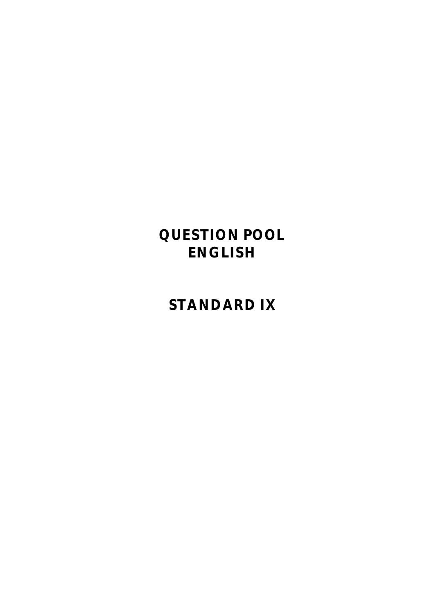# **QUESTION POOL ENGLISH**

# **STANDARD IX**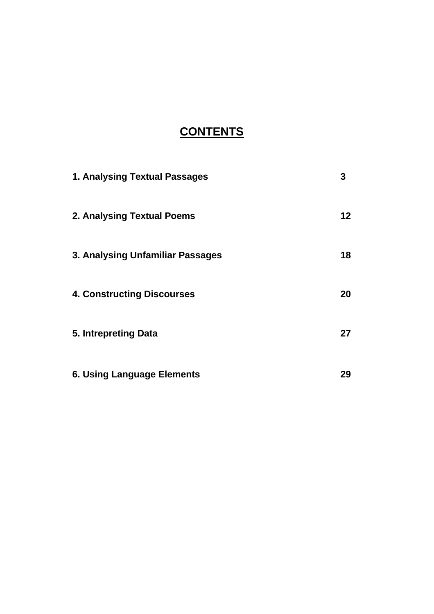# **CONTENTS**

| 1. Analysing Textual Passages     | 3               |
|-----------------------------------|-----------------|
| 2. Analysing Textual Poems        | 12 <sup>°</sup> |
| 3. Analysing Unfamiliar Passages  | 18              |
| <b>4. Constructing Discourses</b> | 20              |
| 5. Intrepreting Data              | 27              |
| <b>6. Using Language Elements</b> | 29              |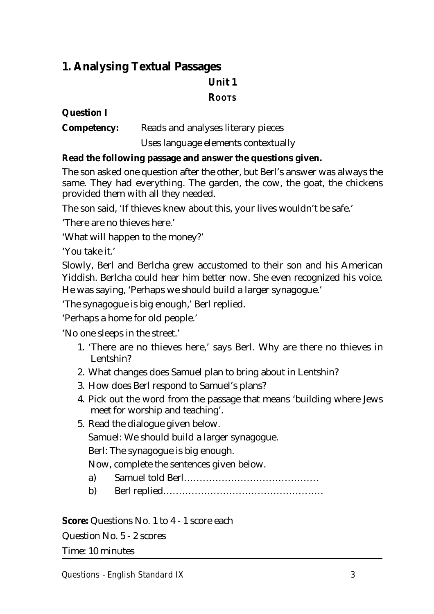## **1. Analysing Textual Passages Unit 1 ROOTS**

## **Question I**

**Competency:** Reads and analyses literary pieces

Uses language elements contextually

## **Read the following passage and answer the questions given.**

The son asked one question after the other, but Berl's answer was always the same. They had everything. The garden, the cow, the goat, the chickens provided them with all they needed.

The son said, 'If thieves knew about this, your lives wouldn't be safe.'

'There are no thieves here.'

'What will happen to the money?'

'You take it.'

Slowly, Berl and Berlcha grew accustomed to their son and his American Yiddish. Berlcha could hear him better now. She even recognized his voice. He was saying, 'Perhaps we should build a larger synagogue.'

'The synagogue is big enough,' Berl replied.

'Perhaps a home for old people.'

'No one sleeps in the street.'

- 1. 'There are no thieves here,' says Berl. Why are there no thieves in Lentshin?
- 2. What changes does Samuel plan to bring about in Lentshin?
- 3. How does Berl respond to Samuel's plans?
- 4. Pick out the word from the passage that means 'building where Jews meet for worship and teaching'.
- 5. Read the dialogue given below. Samuel: We should build a larger synagogue. Berl: The synagogue is big enough. Now, complete the sentences given below.
	- a) Samuel told Berl…………………………………….
	- b) Berl replied……………………………………………

**Score:** Questions No. 1 to 4 - 1 score each

Question No. 5 - 2 scores

Time: 10 minutes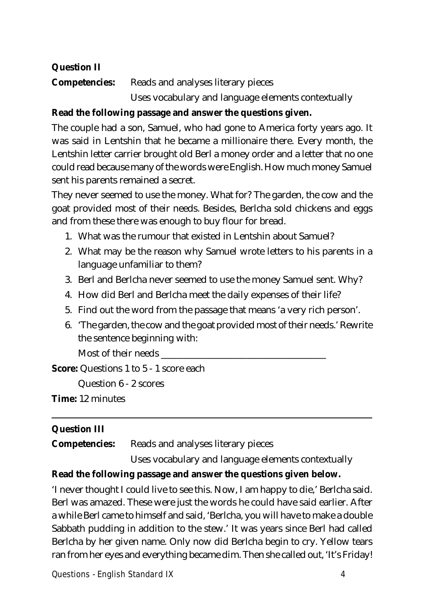## **Question II**

**Competencies:** Reads and analyses literary pieces Uses vocabulary and language elements contextually

## **Read the following passage and answer the questions given.**

The couple had a son, Samuel, who had gone to America forty years ago. It was said in Lentshin that he became a millionaire there. Every month, the Lentshin letter carrier brought old Berl a money order and a letter that no one could read because many of the words were English. How much money Samuel sent his parents remained a secret.

They never seemed to use the money. What for? The garden, the cow and the goat provided most of their needs. Besides, Berlcha sold chickens and eggs and from these there was enough to buy flour for bread.

- 1. What was the rumour that existed in Lentshin about Samuel?
- 2. What may be the reason why Samuel wrote letters to his parents in a language unfamiliar to them?
- 3. Berl and Berlcha never seemed to use the money Samuel sent. Why?
- 4. How did Berl and Berlcha meet the daily expenses of their life?
- 5. Find out the word from the passage that means 'a very rich person'.
- 6. 'The garden, the cow and the goat provided most of their needs.' Rewrite the sentence beginning with:

Most of their needs

**Score:** Questions 1 to 5 - 1 score each

Question 6 - 2 scores

**Time:** 12 minutes

## **Question III**

**Competencies:** Reads and analyses literary pieces

Uses vocabulary and language elements contextually

## **Read the following passage and answer the questions given below.**

'I never thought I could live to see this. Now, I am happy to die,' Berlcha said. Berl was amazed. These were just the words he could have said earlier. After a while Berl came to himself and said, 'Berlcha, you will have to make a double Sabbath pudding in addition to the stew.' It was years since Berl had called Berlcha by her given name. Only now did Berlcha begin to cry. Yellow tears ran from her eyes and everything became dim. Then she called out, 'It's Friday!

**Questions - English Standard IX 4**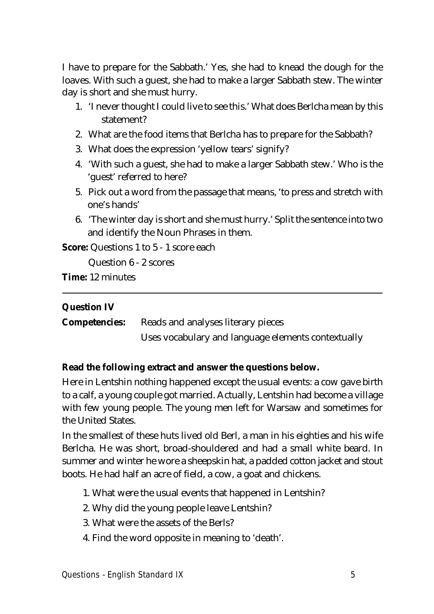I have to prepare for the Sabbath.' Yes, she had to knead the dough for the loaves. With such a guest, she had to make a larger Sabbath stew. The winter day is short and she must hurry.

- 1. 'I never thought I could live to see this.' What does Berlcha mean by this statement?
- 2. What are the food items that Berlcha has to prepare for the Sabbath?
- 3. What does the expression 'yellow tears' signify?
- 4. 'With such a guest, she had to make a larger Sabbath stew.' Who is the 'guest' referred to here?
- 5. Pick out a word from the passage that means, 'to press and stretch with one's hands'
- 6. 'The winter day is short and she must hurry.' Split the sentence into two and identify the Noun Phrases in them.

**Score:** Questions 1 to 5 - 1 score each

Question 6 - 2 scores

**Time:** 12 minutes

## **Question IV**

**Competencies:** Reads and analyses literary pieces Uses vocabulary and language elements contextually

## **Read the following extract and answer the questions below.**

Here in Lentshin nothing happened except the usual events: a cow gave birth to a calf, a young couple got married. Actually, Lentshin had become a village with few young people. The young men left for Warsaw and sometimes for the United States.

In the smallest of these huts lived old Berl, a man in his eighties and his wife Berlcha. He was short, broad-shouldered and had a small white beard. In summer and winter he wore a sheepskin hat, a padded cotton jacket and stout boots. He had half an acre of field, a cow, a goat and chickens.

- 1. What were the usual events that happened in Lentshin?
- 2. Why did the young people leave Lentshin?
- 3. What were the assets of the Berls?
- 4. Find the word opposite in meaning to 'death'.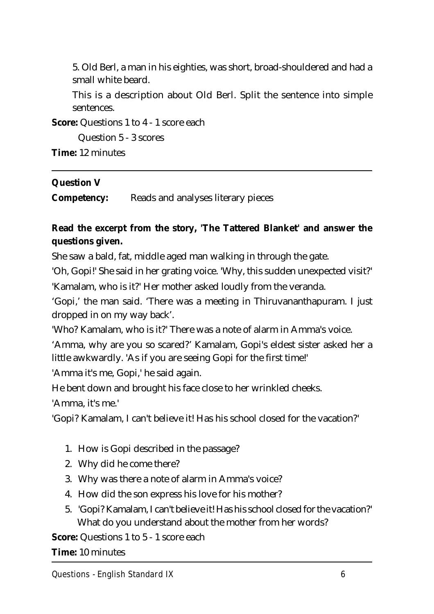5. Old Berl, a man in his eighties, was short, broad-shouldered and had a small white beard.

This is a description about Old Berl. Split the sentence into simple sentences.

**Score:** Questions 1 to 4 - 1 score each

Question 5 - 3 scores

**Time:** 12 minutes

## **Question V**

**Competency:** Reads and analyses literary pieces

## **Read the excerpt from the story, 'The Tattered Blanket' and answer the questions given.**

She saw a bald, fat, middle aged man walking in through the gate.

'Oh, Gopi!' She said in her grating voice. 'Why, this sudden unexpected visit?' 'Kamalam, who is it?' Her mother asked loudly from the veranda.

'Gopi,' the man said. 'There was a meeting in Thiruvananthapuram. I just dropped in on my way back'.

'Who? Kamalam, who is it?' There was a note of alarm in Amma's voice.

'Amma, why are you so scared?' Kamalam, Gopi's eldest sister asked her a little awkwardly. 'As if you are seeing Gopi for the first time!'

'Amma it's me, Gopi,' he said again.

He bent down and brought his face close to her wrinkled cheeks.

'Amma, it's me.'

'Gopi? Kamalam, I can't believe it! Has his school closed for the vacation?'

- 1. How is Gopi described in the passage?
- 2. Why did he come there?
- 3. Why was there a note of alarm in Amma's voice?
- 4. How did the son express his love for his mother?
- 5. 'Gopi? Kamalam, I can't believe it! Has his school closed for the vacation?' What do you understand about the mother from her words?

**Score:** Questions 1 to 5 - 1 score each

**Time:** 10 minutes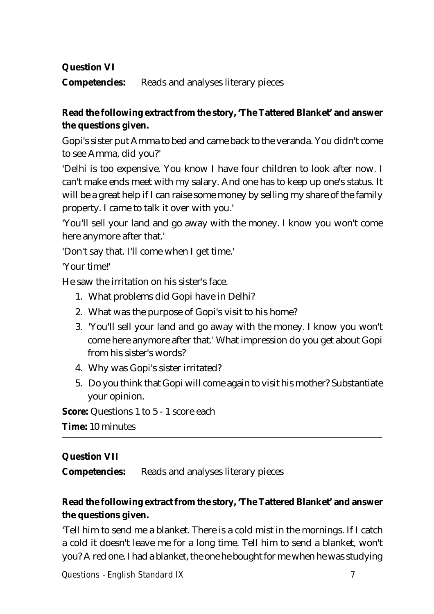**Question VI**

**Competencies:** Reads and analyses literary pieces

## **Read the following extract from the story, 'The Tattered Blanket' and answer the questions given.**

Gopi's sister put Amma to bed and came back to the veranda. You didn't come to see Amma, did you?'

'Delhi is too expensive. You know I have four children to look after now. I can't make ends meet with my salary. And one has to keep up one's status. It will be a great help if I can raise some money by selling my share of the family property. I came to talk it over with you.'

'You'll sell your land and go away with the money. I know you won't come here anymore after that.'

'Don't say that. I'll come when I get time.'

'Your time!'

He saw the irritation on his sister's face.

- 1. What problems did Gopi have in Delhi?
- 2. What was the purpose of Gopi's visit to his home?
- 3. 'You'll sell your land and go away with the money. I know you won't come here anymore after that.' What impression do you get about Gopi from his sister's words?
- 4. Why was Gopi's sister irritated?
- 5. Do you think that Gopi will come again to visit his mother? Substantiate your opinion.

**Score:** Questions 1 to 5 - 1 score each

**Time:** 10 minutes

## **Question VII**

**Competencies:** Reads and analyses literary pieces

## **Read the following extract from the story, 'The Tattered Blanket' and answer the questions given.**

'Tell him to send me a blanket. There is a cold mist in the mornings. If I catch a cold it doesn't leave me for a long time. Tell him to send a blanket, won't you? A red one. I had a blanket, the one he bought for me when he was studying

**Questions - English Standard IX 7**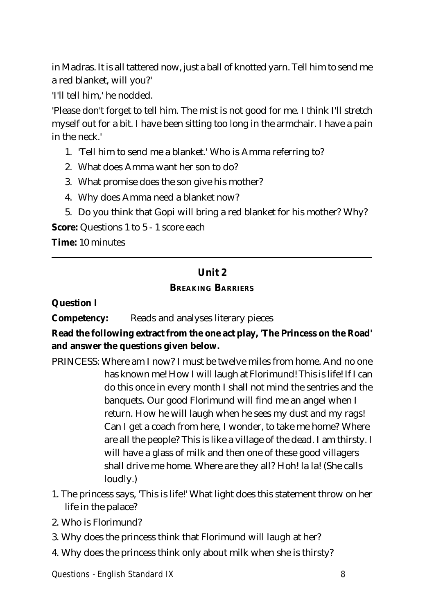in Madras. It is all tattered now, just a ball of knotted yarn. Tell him to send me a red blanket, will you?'

'I'll tell him,' he nodded.

'Please don't forget to tell him. The mist is not good for me. I think I'll stretch myself out for a bit. I have been sitting too long in the armchair. I have a pain in the neck.'

- 1. 'Tell him to send me a blanket.' Who is Amma referring to?
- 2. What does Amma want her son to do?
- 3. What promise does the son give his mother?
- 4. Why does Amma need a blanket now?
- 5. Do you think that Gopi will bring a red blanket for his mother? Why?

**Score:** Questions 1 to 5 - 1 score each

**Time:** 10 minutes

## **Unit 2 BREAKING BARRIERS**

#### **Question I**

**Competency:** Reads and analyses literary pieces

## **Read the following extract from the one act play, 'The Princess on the Road' and answer the questions given below.**

- PRINCESS: Where am I now? I must be twelve miles from home. And no one has known me! How I will laugh at Florimund! This is life! If I can do this once in every month I shall not mind the sentries and the banquets. Our good Florimund will find me an angel when I return. How he will laugh when he sees my dust and my rags! Can I get a coach from here, I wonder, to take me home? Where are all the people? This is like a village of the dead. I am thirsty. I will have a glass of milk and then one of these good villagers shall drive me home. Where are they all? Hoh! la la! (She calls loudly.)
- 1. The princess says, 'This is life!' What light does this statement throw on her life in the palace?
- 2. Who is Florimund?
- 3. Why does the princess think that Florimund will laugh at her?
- 4. Why does the princess think only about milk when she is thirsty?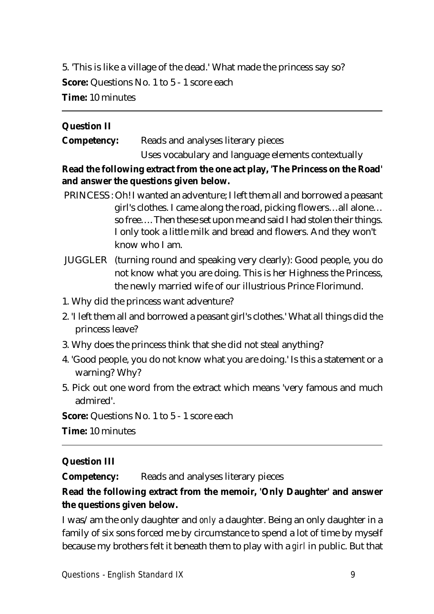5. 'This is like a village of the dead.' What made the princess say so? **Score:** Questions No. 1 to 5 - 1 score each **Time:** 10 minutes

## **Question II**

**Competency:** Reads and analyses literary pieces Uses vocabulary and language elements contextually

**Read the following extract from the one act play, 'The Princess on the Road' and answer the questions given below.**

- PRINCESS : Oh! I wanted an adventure; I left them all and borrowed a peasant girl's clothes. I came along the road, picking flowers…all alone… so free…. Then these set upon me and said I had stolen their things. I only took a little milk and bread and flowers. And they won't know who I am.
- JUGGLER (turning round and speaking very clearly): Good people, you do not know what you are doing. This is her Highness the Princess, the newly married wife of our illustrious Prince Florimund.
- 1. Why did the princess want adventure?
- 2. 'I left them all and borrowed a peasant girl's clothes.' What all things did the princess leave?
- 3. Why does the princess think that she did not steal anything?
- 4. 'Good people, you do not know what you are doing.' Is this a statement or a warning? Why?
- 5. Pick out one word from the extract which means 'very famous and much admired'.

**Score:** Questions No. 1 to 5 - 1 score each

**Time:** 10 minutes

## **Question III**

**Competency:** Reads and analyses literary pieces

## **Read the following extract from the memoir, 'Only Daughter' and answer the questions given below.**

I was/am the only daughter and *only* a daughter. Being an only daughter in a family of six sons forced me by circumstance to spend a lot of time by myself because my brothers felt it beneath them to play with a *girl* in public. But that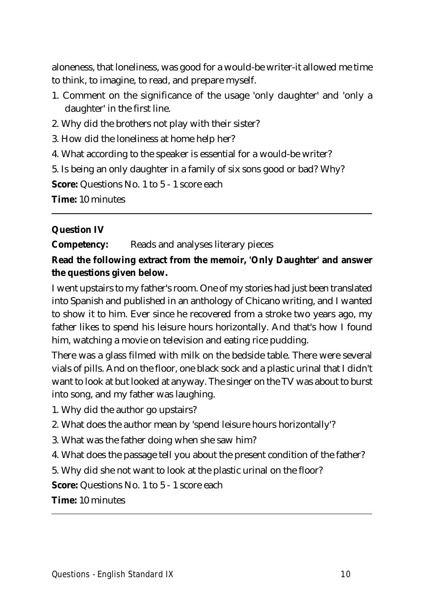aloneness, that loneliness, was good for a would-be writer-it allowed me time to think, to imagine, to read, and prepare myself.

- 1. Comment on the significance of the usage 'only daughter' and 'only a daughter' in the first line.
- 2. Why did the brothers not play with their sister?
- 3. How did the loneliness at home help her?
- 4. What according to the speaker is essential for a would-be writer?
- 5. Is being an only daughter in a family of six sons good or bad? Why?

**Score:** Questions No. 1 to 5 - 1 score each

**Time:** 10 minutes

## **Question IV**

**Competency:** Reads and analyses literary pieces

## **Read the following extract from the memoir, 'Only Daughter' and answer the questions given below.**

I went upstairs to my father's room. One of my stories had just been translated into Spanish and published in an anthology of Chicano writing, and I wanted to show it to him. Ever since he recovered from a stroke two years ago, my father likes to spend his leisure hours horizontally. And that's how I found him, watching a movie on television and eating rice pudding.

There was a glass filmed with milk on the bedside table. There were several vials of pills. And on the floor, one black sock and a plastic urinal that I didn't want to look at but looked at anyway. The singer on the TV was about to burst into song, and my father was laughing.

- 1. Why did the author go upstairs?
- 2. What does the author mean by 'spend leisure hours horizontally'?
- 3. What was the father doing when she saw him?
- 4. What does the passage tell you about the present condition of the father?
- 5. Why did she not want to look at the plastic urinal on the floor?

**Score:** Questions No. 1 to 5 - 1 score each

**Time:** 10 minutes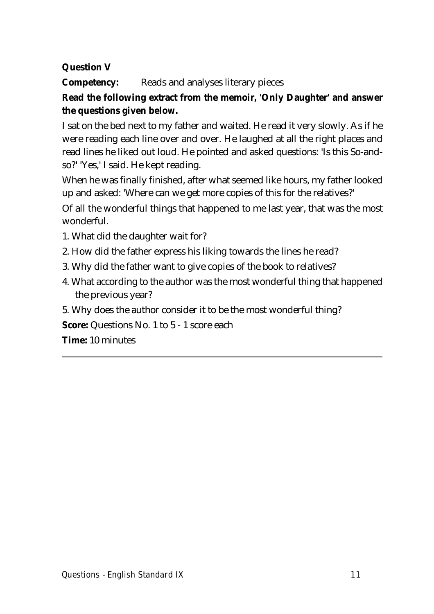## **Question V**

**Competency:** Reads and analyses literary pieces

## **Read the following extract from the memoir, 'Only Daughter' and answer the questions given below.**

I sat on the bed next to my father and waited. He read it very slowly. As if he were reading each line over and over. He laughed at all the right places and read lines he liked out loud. He pointed and asked questions: 'Is this So-andso?' 'Yes,' I said. He kept reading.

When he was finally finished, after what seemed like hours, my father looked up and asked: 'Where can we get more copies of this for the relatives?'

Of all the wonderful things that happened to me last year, that was the most wonderful.

- 1. What did the daughter wait for?
- 2. How did the father express his liking towards the lines he read?
- 3. Why did the father want to give copies of the book to relatives?
- 4. What according to the author was the most wonderful thing that happened the previous year?
- 5. Why does the author consider it to be the most wonderful thing?

**Score:** Questions No. 1 to 5 - 1 score each

**Time:** 10 minutes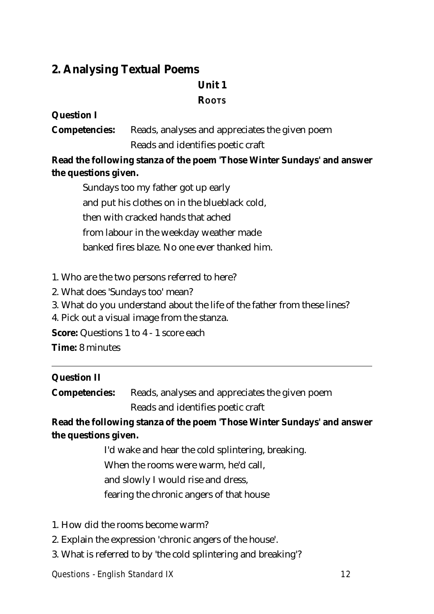## **2. Analysing Textual Poems**

## **Unit 1**

## **ROOTS**

## **Question I**

**Competencies:** Reads, analyses and appreciates the given poem Reads and identifies poetic craft

**Read the following stanza of the poem 'Those Winter Sundays' and answer the questions given.**

Sundays too my father got up early and put his clothes on in the blueblack cold, then with cracked hands that ached from labour in the weekday weather made banked fires blaze. No one ever thanked him.

- 1. Who are the two persons referred to here?
- 2. What does 'Sundays too' mean?
- 3. What do you understand about the life of the father from these lines?
- 4. Pick out a visual image from the stanza.

**Score:** Questions 1 to 4 - 1 score each

**Time:** 8 minutes

## **Question II**

**Competencies:** Reads, analyses and appreciates the given poem Reads and identifies poetic craft

**Read the following stanza of the poem 'Those Winter Sundays' and answer the questions given.**

I'd wake and hear the cold splintering, breaking.

When the rooms were warm, he'd call,

and slowly I would rise and dress,

fearing the chronic angers of that house

- 1. How did the rooms become warm?
- 2. Explain the expression 'chronic angers of the house'.
- 3. What is referred to by 'the cold splintering and breaking'?

**Questions - English Standard IX 12**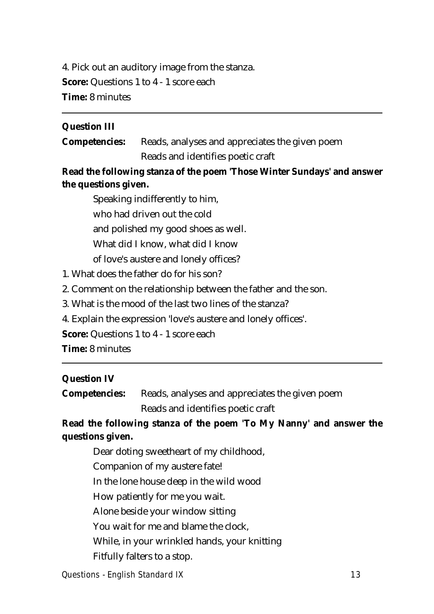4. Pick out an auditory image from the stanza. **Score:** Questions 1 to 4 - 1 score each **Time:** 8 minutes

#### **Question III**

**Competencies:** Reads, analyses and appreciates the given poem Reads and identifies poetic craft

## **Read the following stanza of the poem 'Those Winter Sundays' and answer the questions given.**

Speaking indifferently to him, who had driven out the cold and polished my good shoes as well. What did I know, what did I know of love's austere and lonely offices?

1. What does the father do for his son?

2. Comment on the relationship between the father and the son.

3. What is the mood of the last two lines of the stanza?

4. Explain the expression 'love's austere and lonely offices'.

**Score:** Questions 1 to 4 - 1 score each

**Time:** 8 minutes

#### **Question IV**

**Competencies:** Reads, analyses and appreciates the given poem

Reads and identifies poetic craft

## **Read the following stanza of the poem 'To My Nanny' and answer the questions given.**

Dear doting sweetheart of my childhood, Companion of my austere fate! In the lone house deep in the wild wood How patiently for me you wait. Alone beside your window sitting You wait for me and blame the clock, While, in your wrinkled hands, your knitting Fitfully falters to a stop.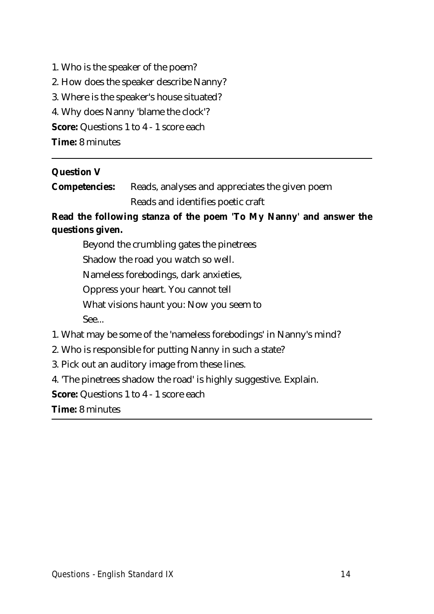1. Who is the speaker of the poem? 2. How does the speaker describe Nanny? 3. Where is the speaker's house situated? 4. Why does Nanny 'blame the clock'? **Score:** Questions 1 to 4 - 1 score each **Time:** 8 minutes

#### **Question V**

**Competencies:** Reads, analyses and appreciates the given poem Reads and identifies poetic craft

## **Read the following stanza of the poem 'To My Nanny' and answer the questions given.**

Beyond the crumbling gates the pinetrees Shadow the road you watch so well. Nameless forebodings, dark anxieties, Oppress your heart. You cannot tell What visions haunt you: Now you seem to See...

1. What may be some of the 'nameless forebodings' in Nanny's mind?

- 2. Who is responsible for putting Nanny in such a state?
- 3. Pick out an auditory image from these lines.

4. 'The pinetrees shadow the road' is highly suggestive. Explain.

**Score:** Questions 1 to 4 - 1 score each

**Time:** 8 minutes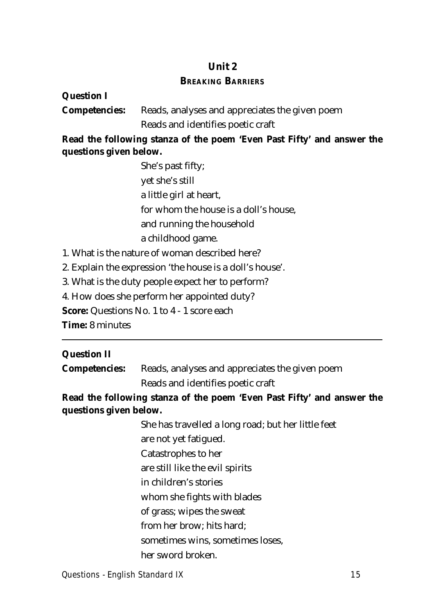#### **Unit 2**

#### **BREAKING BARRIERS**

#### **Question I**

**Competencies:** Reads, analyses and appreciates the given poem Reads and identifies poetic craft

**Read the following stanza of the poem 'Even Past Fifty' and answer the questions given below.**

> She's past fifty; yet she's still a little girl at heart, for whom the house is a doll's house, and running the household a childhood game.

1. What is the nature of woman described here?

2. Explain the expression 'the house is a doll's house'.

3. What is the duty people expect her to perform?

4. How does she perform her appointed duty?

**Score:** Questions No. 1 to 4 - 1 score each

**Time:** 8 minutes

## **Question II**

**Competencies:** Reads, analyses and appreciates the given poem Reads and identifies poetic craft

**Read the following stanza of the poem 'Even Past Fifty' and answer the questions given below.**

> She has travelled a long road; but her little feet are not yet fatigued. Catastrophes to her are still like the evil spirits in children's stories whom she fights with blades of grass; wipes the sweat from her brow; hits hard; sometimes wins, sometimes loses, her sword broken.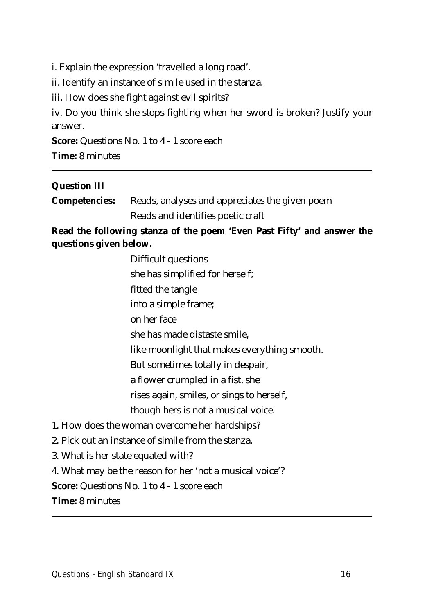i. Explain the expression 'travelled a long road'.

ii. Identify an instance of simile used in the stanza.

iii. How does she fight against evil spirits?

iv. Do you think she stops fighting when her sword is broken? Justify your answer.

**Score:** Questions No. 1 to 4 - 1 score each

**Time:** 8 minutes

#### **Question III**

| <b>Competencies:</b> Reads, analyses and appreciates the given poem |
|---------------------------------------------------------------------|
| Reads and identifies poetic craft                                   |

**Read the following stanza of the poem 'Even Past Fifty' and answer the questions given below.**

| Difficult questions                                      |  |  |
|----------------------------------------------------------|--|--|
| she has simplified for herself;                          |  |  |
| fitted the tangle                                        |  |  |
| into a simple frame;                                     |  |  |
| on her face                                              |  |  |
| she has made distaste smile,                             |  |  |
| like moonlight that makes everything smooth.             |  |  |
| But sometimes totally in despair,                        |  |  |
| a flower crumpled in a fist, she                         |  |  |
| rises again, smiles, or sings to herself,                |  |  |
| though hers is not a musical voice.                      |  |  |
| 1. How does the woman overcome her hardships?            |  |  |
| 2. Pick out an instance of simile from the stanza.       |  |  |
| 3. What is her state equated with?                       |  |  |
| 4. What may be the reason for her 'not a musical voice'? |  |  |
| <b>Score:</b> Questions No. 1 to 4 - 1 score each        |  |  |
| <b>Time:</b> 8 minutes                                   |  |  |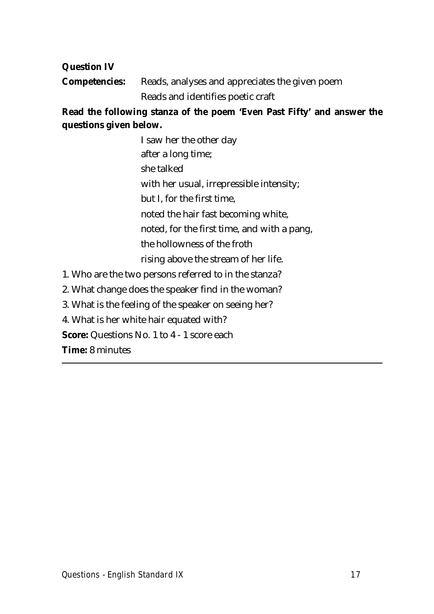## **Question IV**

**Competencies:** Reads, analyses and appreciates the given poem Reads and identifies poetic craft

**Read the following stanza of the poem 'Even Past Fifty' and answer the questions given below.**

> I saw her the other day after a long time; she talked with her usual, irrepressible intensity; but I, for the first time, noted the hair fast becoming white, noted, for the first time, and with a pang, the hollowness of the froth rising above the stream of her life.

- 1. Who are the two persons referred to in the stanza?
- 2. What change does the speaker find in the woman?
- 3. What is the feeling of the speaker on seeing her?
- 4. What is her white hair equated with?

**Score:** Questions No. 1 to 4 - 1 score each

**Time:** 8 minutes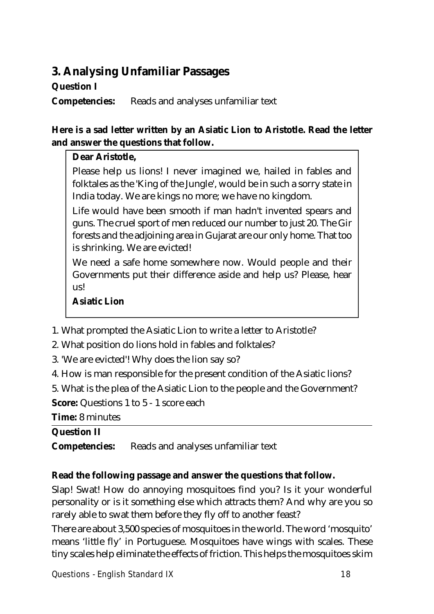## **3. Analysing Unfamiliar Passages**

## **Question I**

**Competencies:** Reads and analyses unfamiliar text

## **Here is a sad letter written by an Asiatic Lion to Aristotle. Read the letter and answer the questions that follow.**

## **Dear Aristotle,**

Please help us lions! I never imagined we, hailed in fables and folktales as the 'King of the Jungle', would be in such a sorry state in India today. We are kings no more; we have no kingdom.

Life would have been smooth if man hadn't invented spears and guns. The cruel sport of men reduced our number to just 20. The Gir forests and the adjoining area in Gujarat are our only home. That too is shrinking. We are evicted!

We need a safe home somewhere now. Would people and their Governments put their difference aside and help us? Please, hear us!

## **Asiatic Lion**

- 1. What prompted the Asiatic Lion to write a letter to Aristotle?
- 2. What position do lions hold in fables and folktales?
- 3. 'We are evicted'! Why does the lion say so?
- 4. How is man responsible for the present condition of the Asiatic lions?
- 5. What is the plea of the Asiatic Lion to the people and the Government?

**Score:** Questions 1 to 5 - 1 score each

**Time:** 8 minutes

## **Question II**

**Competencies:** Reads and analyses unfamiliar text

## **Read the following passage and answer the questions that follow.**

Slap! Swat! How do annoying mosquitoes find you? Is it your wonderful personality or is it something else which attracts them? And why are you so rarely able to swat them before they fly off to another feast?

There are about 3,500 species of mosquitoes in the world. The word 'mosquito' means 'little fly' in Portuguese. Mosquitoes have wings with scales. These tiny scales help eliminate the effects of friction. This helps the mosquitoes skim

**Questions - English Standard IX 18**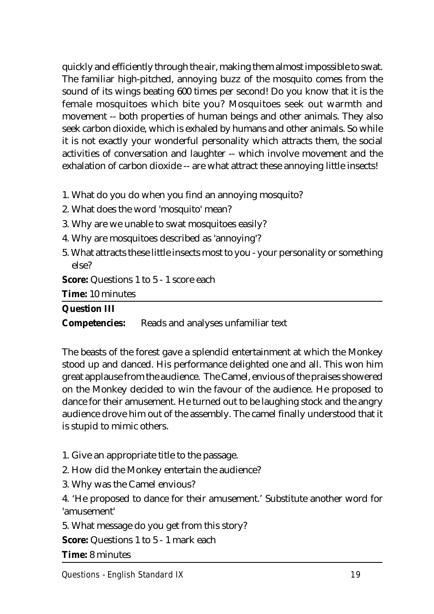quickly and efficiently through the air, making them almost impossible to swat. The familiar high-pitched, annoying buzz of the mosquito comes from the sound of its wings beating 600 times per second! Do you know that it is the female mosquitoes which bite you? Mosquitoes seek out warmth and movement -- both properties of human beings and other animals. They also seek carbon dioxide, which is exhaled by humans and other animals. So while it is not exactly your wonderful personality which attracts them, the social activities of conversation and laughter -- which involve movement and the exhalation of carbon dioxide -- are what attract these annoying little insects!

- 1. What do you do when you find an annoying mosquito?
- 2. What does the word 'mosquito' mean?
- 3. Why are we unable to swat mosquitoes easily?
- 4. Why are mosquitoes described as 'annoying'?
- 5. What attracts these little insects most to you your personality or something else?

**Score:** Questions 1 to 5 - 1 score each

**Time:** 10 minutes

| <b>Question III</b> |                                                         |
|---------------------|---------------------------------------------------------|
|                     | <b>Competencies:</b> Reads and analyses unfamiliar text |

The beasts of the forest gave a splendid entertainment at which the Monkey stood up and danced. His performance delighted one and all. This won him great applause from the audience. The Camel, envious of the praises showered on the Monkey decided to win the favour of the audience. He proposed to dance for their amusement. He turned out to be laughing stock and the angry audience drove him out of the assembly. The camel finally understood that it is stupid to mimic others.

- 1. Give an appropriate title to the passage.
- 2. How did the Monkey entertain the audience?
- 3. Why was the Camel envious?

4. 'He proposed to dance for their amusement.' Substitute another word for 'amusement'

5. What message do you get from this story?

**Score:** Questions 1 to 5 - 1 mark each

**Time:** 8 minutes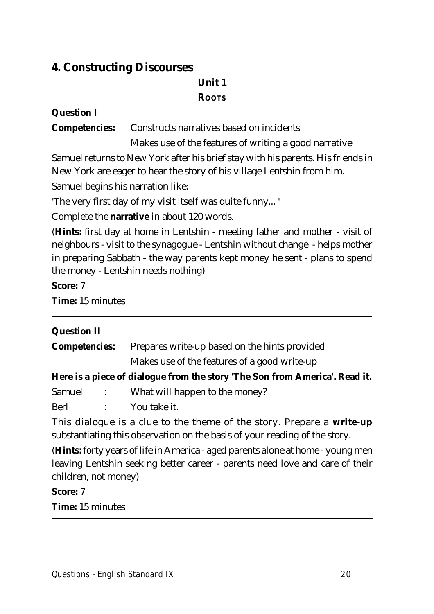## **4. Constructing Discourses**

## **Unit 1 ROOTS**

## **Question I**

**Competencies:** Constructs narratives based on incidents

Makes use of the features of writing a good narrative

Samuel returns to New York after his brief stay with his parents. His friends in New York are eager to hear the story of his village Lentshin from him.

Samuel begins his narration like:

'The very first day of my visit itself was quite funny... '

Complete the **narrative** in about 120 words.

(**Hints:** first day at home in Lentshin - meeting father and mother - visit of neighbours - visit to the synagogue - Lentshin without change - helps mother in preparing Sabbath - the way parents kept money he sent - plans to spend the money - Lentshin needs nothing)

**Score:** 7

**Time:** 15 minutes

| <b>Question II</b>      |  |                                                                                                                                                                         |
|-------------------------|--|-------------------------------------------------------------------------------------------------------------------------------------------------------------------------|
| <b>Competencies:</b>    |  | Prepares write-up based on the hints provided                                                                                                                           |
|                         |  | Makes use of the features of a good write-up                                                                                                                            |
|                         |  | Here is a piece of dialogue from the story 'The Son from America'. Read it.                                                                                             |
|                         |  | Samuel : What will happen to the money?                                                                                                                                 |
|                         |  | Berl : You take it.                                                                                                                                                     |
|                         |  | This dialogue is a clue to the theme of the story. Prepare a write-up<br>substantiating this observation on the basis of your reading of the story.                     |
| children, not money)    |  | ( <b>Hints:</b> forty years of life in America - aged parents alone at home - young men<br>leaving Lentshin seeking better career - parents need love and care of their |
| <b>Score: 7</b>         |  |                                                                                                                                                                         |
| <b>Time:</b> 15 minutes |  |                                                                                                                                                                         |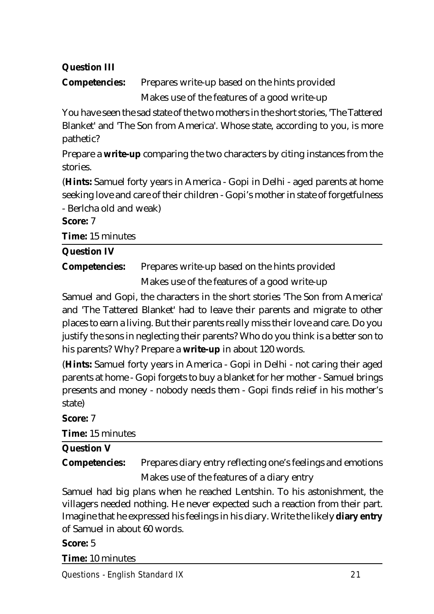## **Question III**

**Competencies:** Prepares write-up based on the hints provided Makes use of the features of a good write-up

You have seen the sad state of the two mothers in the short stories, 'The Tattered Blanket' and 'The Son from America'. Whose state, according to you, is more pathetic?

Prepare a **write-up** comparing the two characters by citing instances from the stories.

(**Hints:** Samuel forty years in America - Gopi in Delhi - aged parents at home seeking love and care of their children - Gopi's mother in state of forgetfulness - Berlcha old and weak)

**Score:** 7

**Time:** 15 minutes

## **Question IV**

**Competencies:** Prepares write-up based on the hints provided

Makes use of the features of a good write-up

Samuel and Gopi, the characters in the short stories 'The Son from America' and 'The Tattered Blanket' had to leave their parents and migrate to other places to earn a living. But their parents really miss their love and care. Do you justify the sons in neglecting their parents? Who do you think is a better son to his parents? Why? Prepare a **write-up** in about 120 words.

(**Hints:** Samuel forty years in America - Gopi in Delhi - not caring their aged parents at home - Gopi forgets to buy a blanket for her mother - Samuel brings presents and money - nobody needs them - Gopi finds relief in his mother's state)

## **Score:** 7

**Time:** 15 minutes

## **Question V**

**Competencies:** Prepares diary entry reflecting one's feelings and emotions Makes use of the features of a diary entry

Samuel had big plans when he reached Lentshin. To his astonishment, the villagers needed nothing. He never expected such a reaction from their part. Imagine that he expressed his feelings in his diary. Write the likely **diary entry** of Samuel in about 60 words.

## **Score:** 5

**Time:** 10 minutes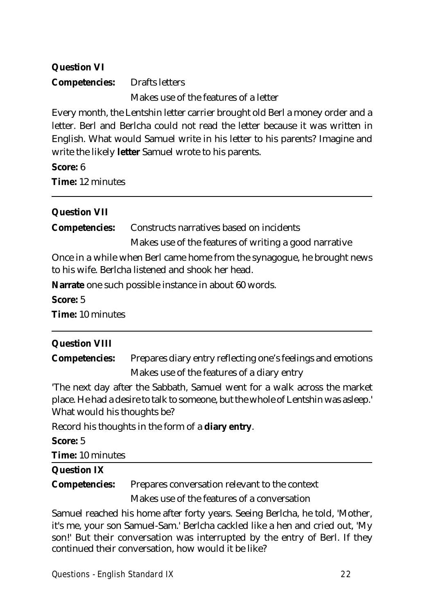## **Question VI**

## **Competencies:** Drafts letters

Makes use of the features of a letter

Every month, the Lentshin letter carrier brought old Berl a money order and a letter. Berl and Berlcha could not read the letter because it was written in English. What would Samuel write in his letter to his parents? Imagine and write the likely **letter** Samuel wrote to his parents.

#### **Score:** 6

**Time:** 12 minutes

## **Question VII**

**Competencies:** Constructs narratives based on incidents Makes use of the features of writing a good narrative

Once in a while when Berl came home from the synagogue, he brought news to his wife. Berlcha listened and shook her head.

**Narrate** one such possible instance in about 60 words.

**Score:** 5 **Time:** 10 minutes

## **Question VIII**

**Competencies:** Prepares diary entry reflecting one's feelings and emotions Makes use of the features of a diary entry

'The next day after the Sabbath, Samuel went for a walk across the market place. He had a desire to talk to someone, but the whole of Lentshin was asleep.' What would his thoughts be?

Record his thoughts in the form of a **diary entry**.

#### **Score:** 5

**Time:** 10 minutes

#### **Question IX**

**Competencies:** Prepares conversation relevant to the context

Makes use of the features of a conversation

Samuel reached his home after forty years. Seeing Berlcha, he told, 'Mother, it's me, your son Samuel-Sam.' Berlcha cackled like a hen and cried out, 'My son!' But their conversation was interrupted by the entry of Berl. If they continued their conversation, how would it be like?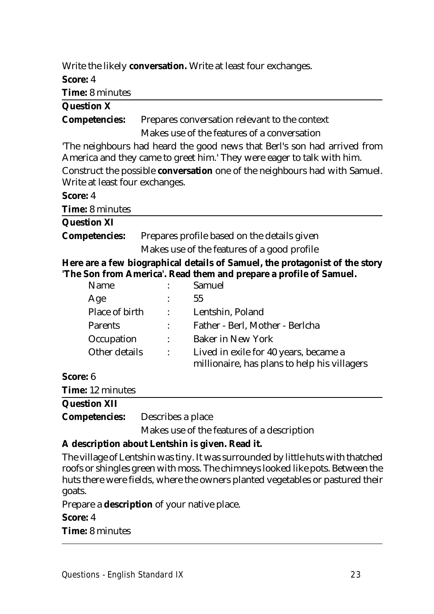|                                                                       |                                             | Write the likely conversation. Write at least four exchanges.                                                                                     |
|-----------------------------------------------------------------------|---------------------------------------------|---------------------------------------------------------------------------------------------------------------------------------------------------|
| Score: 4                                                              |                                             |                                                                                                                                                   |
| <b>Time:</b> 8 minutes                                                |                                             |                                                                                                                                                   |
| <b>Question X</b>                                                     |                                             |                                                                                                                                                   |
| <b>Competencies:</b><br>Prepares conversation relevant to the context |                                             |                                                                                                                                                   |
|                                                                       |                                             | Makes use of the features of a conversation                                                                                                       |
|                                                                       |                                             | The neighbours had heard the good news that Berl's son had arrived from<br>America and they came to greet him.' They were eager to talk with him. |
| Write at least four exchanges.                                        |                                             | Construct the possible <b>conversation</b> one of the neighbours had with Samuel.                                                                 |
| Score: 4                                                              |                                             |                                                                                                                                                   |
| <b>Time:</b> 8 minutes                                                |                                             |                                                                                                                                                   |
| <b>Question XI</b>                                                    |                                             |                                                                                                                                                   |
| <b>Competencies:</b>                                                  | Prepares profile based on the details given |                                                                                                                                                   |
|                                                                       |                                             | Makes use of the features of a good profile                                                                                                       |
|                                                                       |                                             | Here are a few biographical details of Samuel, the protagonist of the story<br>'The Son from America'. Read them and prepare a profile of Samuel. |
| Name                                                                  |                                             | Samuel                                                                                                                                            |
| Age                                                                   |                                             | 55                                                                                                                                                |
| Place of birth                                                        |                                             | Lentshin, Poland                                                                                                                                  |
| <b>Parents</b>                                                        |                                             | Father - Berl, Mother - Berlcha                                                                                                                   |
| Occupation                                                            |                                             | <b>Baker in New York</b>                                                                                                                          |
| Other details                                                         |                                             | Lived in exile for 40 years, became a<br>millionaire, has plans to help his villagers                                                             |
| Score: 6                                                              |                                             |                                                                                                                                                   |
| <b>Time:</b> 12 minutes                                               |                                             |                                                                                                                                                   |
| <b>Question XII</b>                                                   |                                             |                                                                                                                                                   |
| <b>Competencies:</b>                                                  | Describes a place                           |                                                                                                                                                   |

Makes use of the features of a description

## **A description about Lentshin is given. Read it.**

The village of Lentshin was tiny. It was surrounded by little huts with thatched roofs or shingles green with moss. The chimneys looked like pots. Between the huts there were fields, where the owners planted vegetables or pastured their goats.

Prepare a **description** of your native place.

**Score:** 4

**Time:** 8 minutes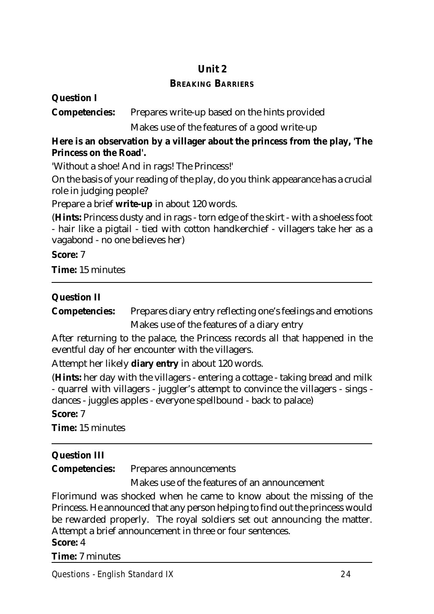## **Unit 2 BREAKING BARRIERS**

#### **Question I**

**Competencies:** Prepares write-up based on the hints provided

Makes use of the features of a good write-up

## **Here is an observation by a villager about the princess from the play, 'The Princess on the Road'.**

'Without a shoe! And in rags! The Princess!'

On the basis of your reading of the play, do you think appearance has a crucial role in judging people?

Prepare a brief **write-up** in about 120 words.

(**Hints:** Princess dusty and in rags - torn edge of the skirt - with a shoeless foot - hair like a pigtail - tied with cotton handkerchief - villagers take her as a vagabond - no one believes her)

**Score:** 7

**Time:** 15 minutes

## **Question II**

**Competencies:** Prepares diary entry reflecting one's feelings and emotions Makes use of the features of a diary entry

After returning to the palace, the Princess records all that happened in the eventful day of her encounter with the villagers.

Attempt her likely **diary entry** in about 120 words.

(**Hints:** her day with the villagers - entering a cottage - taking bread and milk - quarrel with villagers - juggler's attempt to convince the villagers - sings dances - juggles apples - everyone spellbound - back to palace)

**Score:** 7

**Time:** 15 minutes

## **Question III**

**Competencies:** Prepares announcements

Makes use of the features of an announcement

Florimund was shocked when he came to know about the missing of the Princess. He announced that any person helping to find out the princess would be rewarded properly. The royal soldiers set out announcing the matter. Attempt a brief announcement in three or four sentences.

## **Score:** 4

**Time:** 7 minutes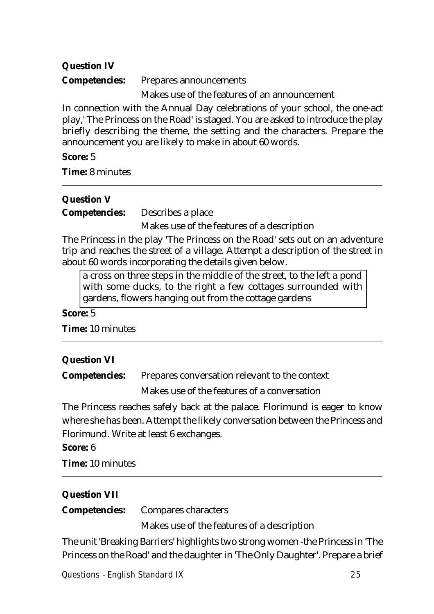## **Question IV**

**Competencies:** Prepares announcements

Makes use of the features of an announcement

In connection with the Annual Day celebrations of your school, the one-act play,' The Princess on the Road' is staged. You are asked to introduce the play briefly describing the theme, the setting and the characters. Prepare the announcement you are likely to make in about 60 words.

#### **Score:** 5

**Time:** 8 minutes

## **Question V**

**Competencies:** Describes a place

Makes use of the features of a description

The Princess in the play 'The Princess on the Road' sets out on an adventure trip and reaches the street of a village. Attempt a description of the street in about 60 words incorporating the details given below.

a cross on three steps in the middle of the street, to the left a pond with some ducks, to the right a few cottages surrounded with gardens, flowers hanging out from the cottage gardens

#### **Score:** 5

**Time:** 10 minutes

## **Question VI**

**Competencies:** Prepares conversation relevant to the context

Makes use of the features of a conversation

The Princess reaches safely back at the palace. Florimund is eager to know where she has been. Attempt the likely conversation between the Princess and Florimund. Write at least 6 exchanges.

#### **Score:** 6

**Time:** 10 minutes

## **Question VII**

**Competencies:** Compares characters

Makes use of the features of a description

The unit 'Breaking Barriers' highlights two strong women -the Princess in 'The Princess on the Road' and the daughter in 'The Only Daughter'. Prepare a brief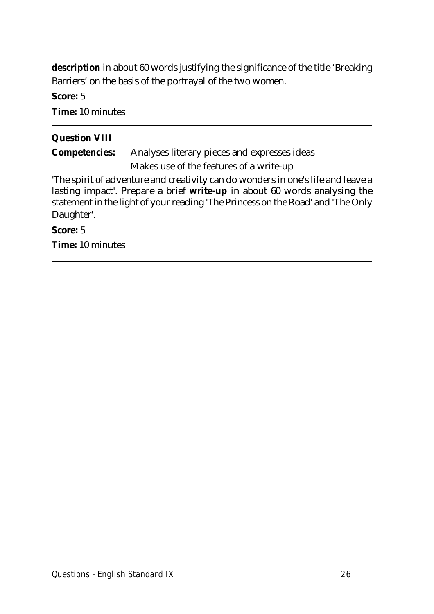**description** in about 60 words justifying the significance of the title 'Breaking Barriers' on the basis of the portrayal of the two women.

**Score:** 5

**Time:** 10 minutes

## **Question VIII**

**Competencies:** Analyses literary pieces and expresses ideas Makes use of the features of a write-up

'The spirit of adventure and creativity can do wonders in one's life and leave a lasting impact'. Prepare a brief **write-up** in about 60 words analysing the statement in the light of your reading 'The Princess on the Road' and 'The Only Daughter'.

#### **Score:** 5

**Time:** 10 minutes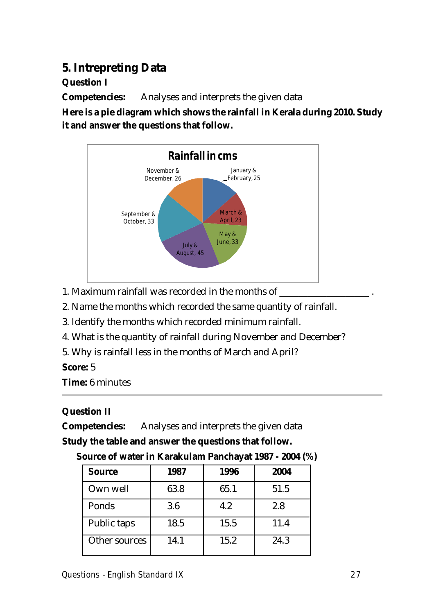## **5. Intrepreting Data**

**Question I**

**Competencies:** Analyses and interprets the given data

**Here is a pie diagram which shows the rainfall in Kerala during 2010. Study it and answer the questions that follow.**



- 1. Maximum rainfall was recorded in the months of
- 2. Name the months which recorded the same quantity of rainfall.
- 3. Identify the months which recorded minimum rainfall.
- 4. What is the quantity of rainfall during November and December?
- 5. Why is rainfall less in the months of March and April?

## **Score:** 5

**Time:** 6 minutes

## **Question II**

**Competencies:** Analyses and interprets the given data

## **Study the table and answer the questions that follow.**

| <b>Source</b> | 1987 | 1996 | 2004 |
|---------------|------|------|------|
| Own well      | 63.8 | 65.1 | 51.5 |
| Ponds         | 3.6  | 4.2  | 2.8  |
| Public taps   | 18.5 | 15.5 | 11.4 |
| Other sources | 14.1 | 15.2 | 24.3 |

 **Source of water in Karakulam Panchayat 1987 - 2004 (%)**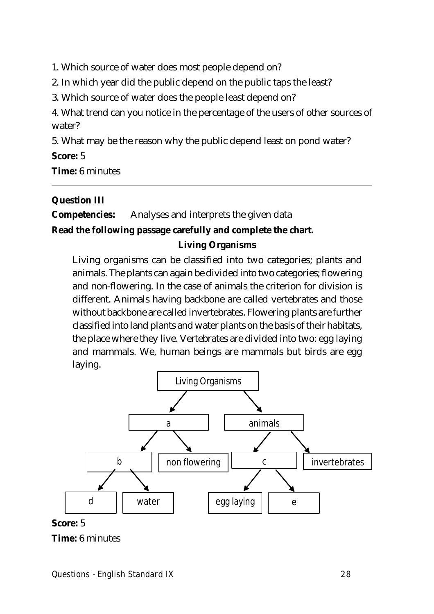1. Which source of water does most people depend on?

2. In which year did the public depend on the public taps the least?

3. Which source of water does the people least depend on?

4. What trend can you notice in the percentage of the users of other sources of water?

5. What may be the reason why the public depend least on pond water?

**Score:** 5

**Time:** 6 minutes

#### **Question III**

**Competencies:** Analyses and interprets the given data

## **Read the following passage carefully and complete the chart. Living Organisms**

Living organisms can be classified into two categories; plants and animals. The plants can again be divided into two categories; flowering and non-flowering. In the case of animals the criterion for division is different. Animals having backbone are called vertebrates and those without backbone are called invertebrates. Flowering plants are further classified into land plants and water plants on the basis of their habitats, the place where they live. Vertebrates are divided into two: egg laying and mammals. We, human beings are mammals but birds are egg laying.



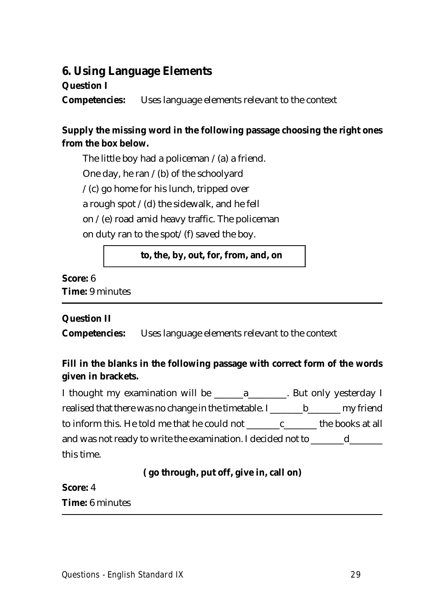## **6. Using Language Elements**

## **Question I**

**Competencies:** Uses language elements relevant to the context

## **Supply the missing word in the following passage choosing the right ones from the box below.**

The little boy had a policeman  $/(a)$  a friend. One day, he ran  $/(b)$  of the schoolyard  $/(c)$  go home for his lunch, tripped over a rough spot  $/(d)$  the sidewalk, and he fell on  $/(e)$  road amid heavy traffic. The policeman on duty ran to the spot/ $(f)$  saved the boy.

## **to, the, by, out, for, from, and, on**

## **Score:** 6 **Time:** 9 minutes

## **Question II**

**Competencies:** Uses language elements relevant to the context

## **Fill in the blanks in the following passage with correct form of the words given in brackets.**

I thought my examination will be \_\_\_\_\_\_a\_\_\_\_\_\_\_\_. But only yesterday I realised that there was no change in the timetable. I \_\_\_\_\_\_\_ b\_\_\_\_\_\_\_ my friend to inform this. He told me that he could not \_\_\_\_\_\_\_c\_\_\_\_\_\_\_ the books at all and was not ready to write the examination. I decided not to <u>decrease</u> this time.

## **( go through, put off, give in, call on)**

## **Score:** 4 **Time:** 6 minutes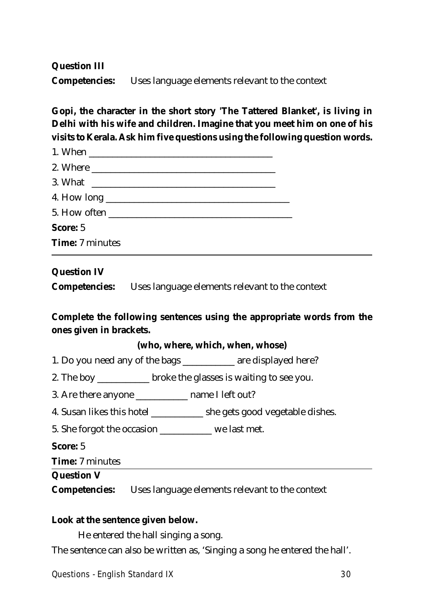#### **Question III**

**Competencies:** Uses language elements relevant to the context

## **Gopi, the character in the short story 'The Tattered Blanket', is living in Delhi with his wife and children. Imagine that you meet him on one of his visits to Kerala. Ask him five questions using the following question words.**

| 5. How often           |  |
|------------------------|--|
| <b>Score: 5</b>        |  |
| <b>Time:</b> 7 minutes |  |

#### **Question IV**

**Competencies:** Uses language elements relevant to the context

## **Complete the following sentences using the appropriate words from the ones given in brackets.**

#### **(who, where, which, when, whose)**

- 1. Do you need any of the bags \_\_\_\_\_\_\_\_\_\_\_ are displayed here?
- 2. The boy \_\_\_\_\_\_\_\_\_\_\_\_ broke the glasses is waiting to see you.
- 3. Are there anyone \_\_\_\_\_\_\_\_\_\_\_ name I left out?
- 4. Susan likes this hotel \_\_\_\_\_\_\_\_\_\_\_ she gets good vegetable dishes.
- 5. She forgot the occasion \_\_\_\_\_\_\_\_\_\_\_ we last met.

**Score:** 5

**Time:** 7 minutes

#### **Question V**

**Competencies:** Uses language elements relevant to the context

#### **Look at the sentence given below.**

He entered the hall singing a song.

The sentence can also be written as, 'Singing a song he entered the hall'.

**Questions - English Standard IX 30**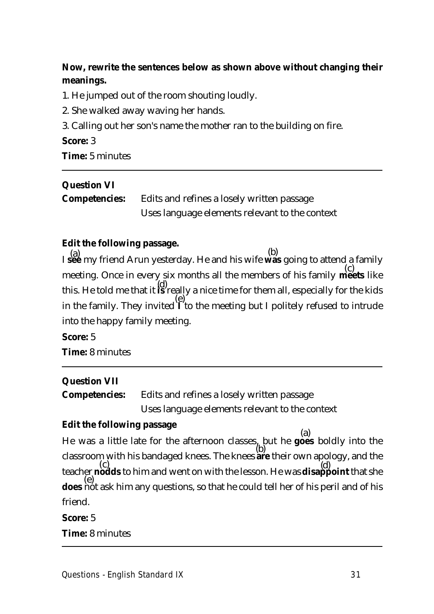## **Now, rewrite the sentences below as shown above without changing their meanings.**

- 1. He jumped out of the room shouting loudly.
- 2. She walked away waving her hands.
- 3. Calling out her son's name the mother ran to the building on fire.

#### **Score:** 3

**Time:** 5 minutes

## **Question VI**

| <b>Competencies:</b> | Edits and refines a losely written passage     |  |
|----------------------|------------------------------------------------|--|
|                      | Uses language elements relevant to the context |  |

## **Edit the following passage.**

I **see** my friend Arun yesterday. He and his wife **was** going to attend a family meeting. Once in every six months all the members of his family **meets** like this. He told me that it **is** really a nice time for them all, especially for the kids in the family. They invited **I** to the meeting but I politely refused to intrude into the happy family meeting.  $(a)$  and friend Amm westerday. He and his wife (c) (d) (e)

**Score:** 5 **Time:** 8 minutes

## **Question VII**

**Competencies:** Edits and refines a losely written passage Uses language elements relevant to the context

## **Edit the following passage**

He was a little late for the afternoon classes, but he **goes** boldly into the classroom with his bandaged knees. The knees **are** their own apology, and the teacher **nodds** to him and went on with the lesson. He was **disappoint** that she **does** not ask him any questions, so that he could tell her of his peril and of his friend. (a) (b)  $(c)$ (e)

**Score:** 5

**Time:** 8 minutes